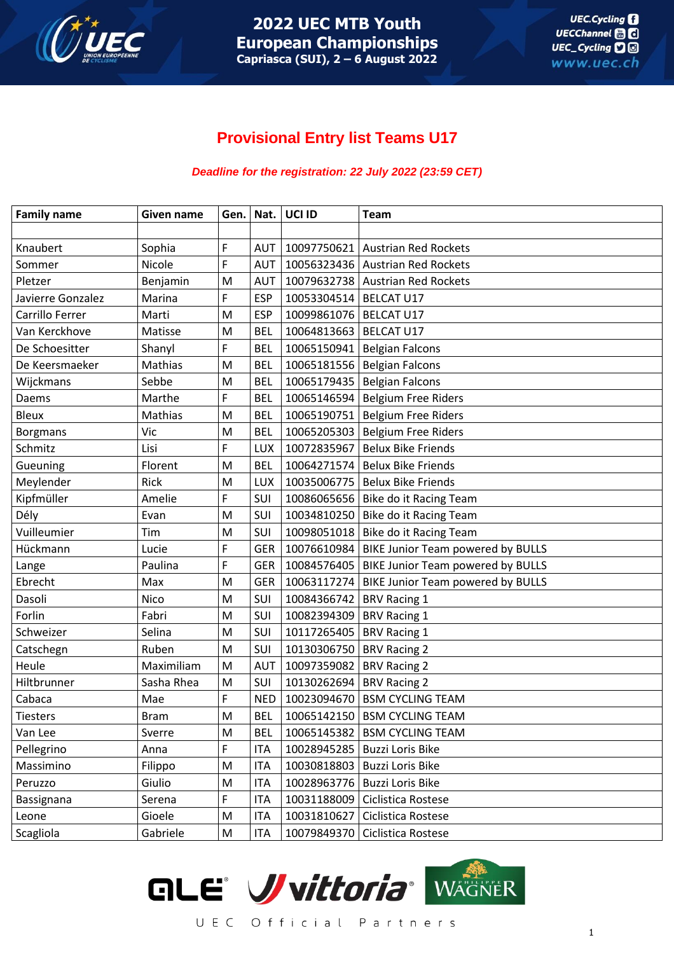

# **Provisional Entry list Teams U17**

#### *Deadline for the registration: 22 July 2022 (23:59 CET)*

| <b>Family name</b> | Given name  | Gen. |            | Nat. UCI ID                | <b>Team</b>                                     |
|--------------------|-------------|------|------------|----------------------------|-------------------------------------------------|
|                    |             |      |            |                            |                                                 |
| Knaubert           | Sophia      | F    | AUT        |                            | 10097750621 Austrian Red Rockets                |
| Sommer             | Nicole      | F    | <b>AUT</b> |                            | 10056323436 Austrian Red Rockets                |
| Pletzer            | Benjamin    | M    | <b>AUT</b> |                            | 10079632738 Austrian Red Rockets                |
| Javierre Gonzalez  | Marina      | F    | <b>ESP</b> | 10053304514   BELCAT U17   |                                                 |
| Carrillo Ferrer    | Marti       | M    | <b>ESP</b> | 10099861076   BELCAT U17   |                                                 |
| Van Kerckhove      | Matisse     | M    | <b>BEL</b> | 10064813663   BELCAT U17   |                                                 |
| De Schoesitter     | Shanyl      | F    | <b>BEL</b> |                            | 10065150941   Belgian Falcons                   |
| De Keersmaeker     | Mathias     | M    | <b>BEL</b> |                            | 10065181556   Belgian Falcons                   |
| Wijckmans          | Sebbe       | M    | <b>BEL</b> |                            | 10065179435   Belgian Falcons                   |
| Daems              | Marthe      | F    | <b>BEL</b> |                            | 10065146594 Belgium Free Riders                 |
| <b>Bleux</b>       | Mathias     | M    | <b>BEL</b> |                            | 10065190751   Belgium Free Riders               |
| <b>Borgmans</b>    | Vic         | M    | <b>BEL</b> |                            | 10065205303   Belgium Free Riders               |
| Schmitz            | Lisi        | F    | <b>LUX</b> |                            | 10072835967   Belux Bike Friends                |
| Gueuning           | Florent     | M    | <b>BEL</b> |                            | 10064271574 Belux Bike Friends                  |
| Meylender          | Rick        | M    | <b>LUX</b> |                            | 10035006775   Belux Bike Friends                |
| Kipfmüller         | Amelie      | F    | SUI        |                            | 10086065656   Bike do it Racing Team            |
| Dély               | Evan        | M    | SUI        |                            | 10034810250   Bike do it Racing Team            |
| Vuilleumier        | Tim         | M    | SUI        |                            | 10098051018   Bike do it Racing Team            |
| Hückmann           | Lucie       | F    | <b>GER</b> |                            | 10076610984   BIKE Junior Team powered by BULLS |
| Lange              | Paulina     | F    | <b>GER</b> |                            | 10084576405   BIKE Junior Team powered by BULLS |
| Ebrecht            | Max         | M    | <b>GER</b> |                            | 10063117274   BIKE Junior Team powered by BULLS |
| Dasoli             | Nico        | M    | SUI        | 10084366742   BRV Racing 1 |                                                 |
| Forlin             | Fabri       | M    | SUI        | 10082394309   BRV Racing 1 |                                                 |
| Schweizer          | Selina      | M    | SUI        | 10117265405   BRV Racing 1 |                                                 |
| Catschegn          | Ruben       | M    | SUI        | 10130306750   BRV Racing 2 |                                                 |
| Heule              | Maximiliam  | M    | <b>AUT</b> | 10097359082   BRV Racing 2 |                                                 |
| Hiltbrunner        | Sasha Rhea  | M    | SUI        | 10130262694   BRV Racing 2 |                                                 |
| Cabaca             | Mae         | F    | <b>NED</b> |                            | 10023094670 BSM CYCLING TEAM                    |
| Tiesters           | <b>Bram</b> | M    | <b>BEL</b> |                            | 10065142150   BSM CYCLING TEAM                  |
| Van Lee            | Sverre      | M    | <b>BEL</b> |                            | 10065145382   BSM CYCLING TEAM                  |
| Pellegrino         | Anna        | F    | <b>ITA</b> |                            | 10028945285   Buzzi Loris Bike                  |
| Massimino          | Filippo     | M    | <b>ITA</b> |                            | 10030818803 Buzzi Loris Bike                    |
| Peruzzo            | Giulio      | M    | <b>ITA</b> |                            | 10028963776 Buzzi Loris Bike                    |
| Bassignana         | Serena      | F    | <b>ITA</b> | 10031188009                | Ciclistica Rostese                              |
| Leone              | Gioele      | M    | <b>ITA</b> | 10031810627                | Ciclistica Rostese                              |
| Scagliola          | Gabriele    | M    | <b>ITA</b> | 10079849370                | Ciclistica Rostese                              |

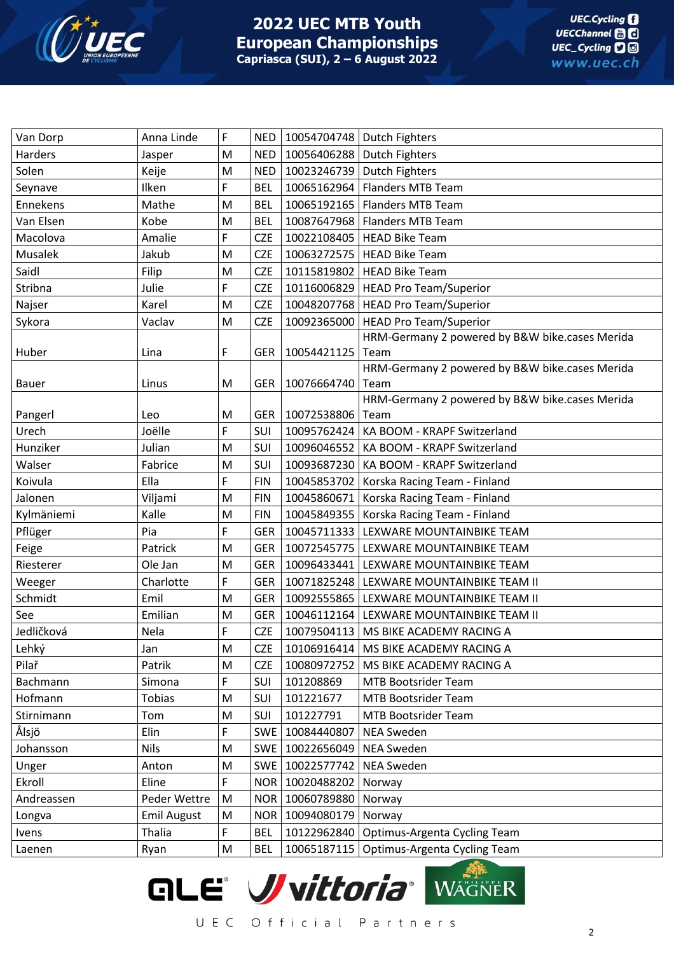

| Harders<br>M<br>10056406288   Dutch Fighters<br>NED  <br>Jasper<br>Solen<br>10023246739 Dutch Fighters<br>Keije<br>M<br>NED  <br>F<br>10065162964   Flanders MTB Team<br>Ilken<br><b>BEL</b><br>Seynave |  |
|---------------------------------------------------------------------------------------------------------------------------------------------------------------------------------------------------------|--|
|                                                                                                                                                                                                         |  |
|                                                                                                                                                                                                         |  |
|                                                                                                                                                                                                         |  |
| Mathe<br>10065192165   Flanders MTB Team<br>Ennekens<br><b>BEL</b><br>M                                                                                                                                 |  |
| Van Elsen<br>Kobe<br>M<br><b>BEL</b><br>10087647968   Flanders MTB Team                                                                                                                                 |  |
| F<br>Macolova<br>Amalie<br>10022108405   HEAD Bike Team<br><b>CZE</b>                                                                                                                                   |  |
| Musalek<br>Jakub<br>M<br><b>CZE</b><br>10063272575   HEAD Bike Team                                                                                                                                     |  |
| Saidl<br><b>CZE</b><br>10115819802   HEAD Bike Team<br>Filip<br>M                                                                                                                                       |  |
| F<br>Stribna<br>Julie<br><b>CZE</b><br>10116006829   HEAD Pro Team/Superior                                                                                                                             |  |
| 10048207768   HEAD Pro Team/Superior<br>Najser<br>Karel<br>M<br><b>CZE</b>                                                                                                                              |  |
| 10092365000   HEAD Pro Team/Superior<br>Sykora<br>Vaclav<br>M<br><b>CZE</b>                                                                                                                             |  |
| HRM-Germany 2 powered by B&W bike.cases Merida                                                                                                                                                          |  |
| F<br>10054421125<br>Huber<br>Lina<br><b>GER</b><br>Team                                                                                                                                                 |  |
| HRM-Germany 2 powered by B&W bike.cases Merida                                                                                                                                                          |  |
| M<br>GER  <br>10076664740<br>Team<br>Bauer<br>Linus                                                                                                                                                     |  |
| HRM-Germany 2 powered by B&W bike.cases Merida                                                                                                                                                          |  |
| 10072538806 Team<br>Pangerl<br>GER  <br>Leo<br>M                                                                                                                                                        |  |
| F<br>Joëlle<br>Urech<br>SUI<br>10095762424   KA BOOM - KRAPF Switzerland                                                                                                                                |  |
| Hunziker<br>Julian<br>SUI<br>M<br>10096046552   KA BOOM - KRAPF Switzerland                                                                                                                             |  |
| SUI<br>Walser<br>Fabrice<br>M<br>10093687230   KA BOOM - KRAPF Switzerland                                                                                                                              |  |
| Koivula<br>F<br>Ella<br><b>FIN</b><br>10045853702   Korska Racing Team - Finland                                                                                                                        |  |
| M<br><b>FIN</b><br>10045860671   Korska Racing Team - Finland<br>Jalonen<br>Viljami                                                                                                                     |  |
| Kylmäniemi<br>Kalle<br>M<br><b>FIN</b><br>10045849355   Korska Racing Team - Finland                                                                                                                    |  |
| F<br>Pflüger<br>Pia<br>10045711333 LEXWARE MOUNTAINBIKE TEAM<br><b>GER</b>                                                                                                                              |  |
| Feige<br>Patrick<br>M<br><b>GER</b><br>10072545775   LEXWARE MOUNTAINBIKE TEAM                                                                                                                          |  |
| Riesterer<br>Ole Jan<br>M<br><b>GER</b><br>10096433441   LEXWARE MOUNTAINBIKE TEAM                                                                                                                      |  |
| F<br>10071825248   LEXWARE MOUNTAINBIKE TEAM II<br>Weeger<br>Charlotte<br><b>GER</b>                                                                                                                    |  |
| Schmidt<br>Emil<br>10092555865   LEXWARE MOUNTAINBIKE TEAM II<br>M<br>GER                                                                                                                               |  |
| See<br>Emilian<br>M<br>GER<br>10046112164   LEXWARE MOUNTAINBIKE TEAM II                                                                                                                                |  |
| F<br>Jedličková<br><b>CZE</b><br>10079504113   MS BIKE ACADEMY RACING A<br>Nela                                                                                                                         |  |
| Lehký<br>M<br><b>CZE</b><br>10106916414   MS BIKE ACADEMY RACING A<br>Jan                                                                                                                               |  |
| Pilař<br><b>CZE</b><br>Patrik<br>M<br>10080972752   MS BIKE ACADEMY RACING A                                                                                                                            |  |
| F<br>SUI<br>Bachmann<br>Simona<br>101208869<br><b>MTB Bootsrider Team</b>                                                                                                                               |  |
| Hofmann<br>Tobias<br>SUI<br>101221677<br><b>MTB Bootsrider Team</b><br>M                                                                                                                                |  |
| M<br>SUI<br>MTB Bootsrider Team<br>Stirnimann<br>Tom<br>101227791                                                                                                                                       |  |
| Ålsjö<br>F<br>10084440807<br>Elin<br>SWE<br><b>NEA Sweden</b>                                                                                                                                           |  |
| <b>Nils</b><br><b>NEA Sweden</b><br>Johansson<br>M<br>SWE   10022656049                                                                                                                                 |  |
| 10022577742<br>Unger<br>M<br>SWE<br><b>NEA Sweden</b><br>Anton                                                                                                                                          |  |
| F<br>Ekroll<br>NOR   10020488202<br>Eline<br>Norway                                                                                                                                                     |  |
| Peder Wettre<br>10060789880<br>Andreassen<br>M<br><b>NOR</b><br>Norway                                                                                                                                  |  |
| <b>Emil August</b><br>NOR   10094080179<br>M<br>Norway<br>Longva                                                                                                                                        |  |
| F<br>Thalia<br><b>BEL</b><br>10122962840<br>Optimus-Argenta Cycling Team<br>Ivens                                                                                                                       |  |
| <b>BEL</b><br>10065187115<br>Optimus-Argenta Cycling Team<br>M<br>Ryan<br>Laenen                                                                                                                        |  |

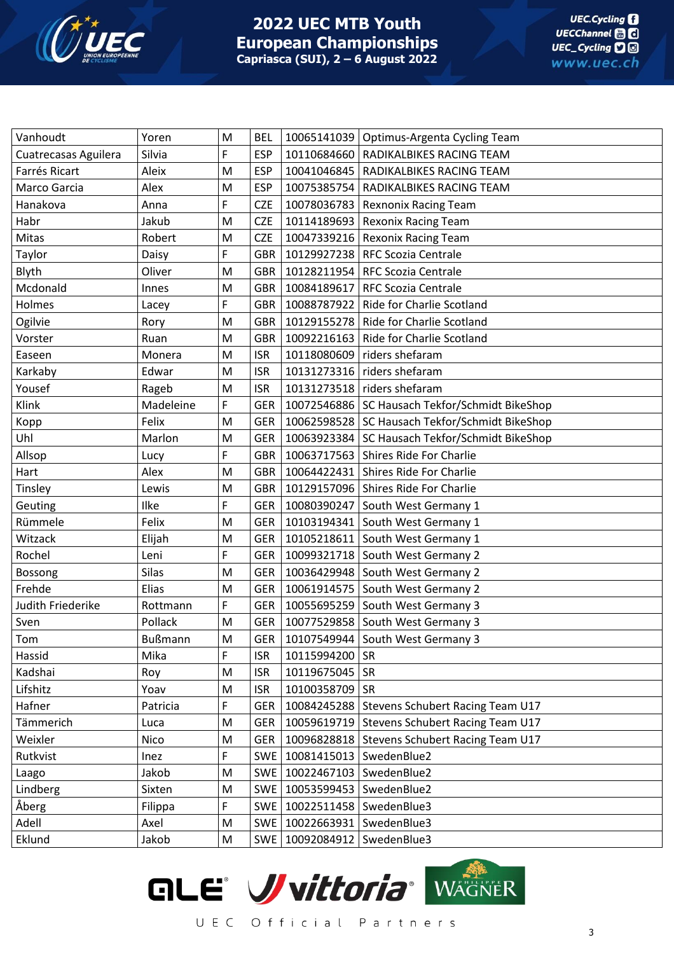

| Vanhoudt             | Yoren          | M         | <b>BEL</b> |                                 | 10065141039   Optimus-Argenta Cycling Team             |
|----------------------|----------------|-----------|------------|---------------------------------|--------------------------------------------------------|
| Cuatrecasas Aguilera | Silvia         | F         | <b>ESP</b> |                                 | 10110684660   RADIKALBIKES RACING TEAM                 |
| Farrés Ricart        | Aleix          | M         | <b>ESP</b> |                                 | 10041046845   RADIKALBIKES RACING TEAM                 |
| Marco Garcia         | Alex           | M         | <b>ESP</b> |                                 | 10075385754   RADIKALBIKES RACING TEAM                 |
| Hanakova             | Anna           | F         | <b>CZE</b> |                                 | 10078036783   Rexnonix Racing Team                     |
| Habr                 | Jakub          | M         | <b>CZE</b> |                                 | 10114189693   Rexonix Racing Team                      |
| Mitas                | Robert         | M         | <b>CZE</b> |                                 | 10047339216   Rexonix Racing Team                      |
| Taylor               | Daisy          | F         | GBR        |                                 | 10129927238   RFC Scozia Centrale                      |
| Blyth                | Oliver         | M         |            |                                 | GBR   10128211954   RFC Scozia Centrale                |
| Mcdonald             | Innes          | M         | GBR        |                                 | 10084189617   RFC Scozia Centrale                      |
| Holmes               | Lacey          | F         | GBR        |                                 | 10088787922   Ride for Charlie Scotland                |
| Ogilvie              | Rory           | M         | GBR        |                                 | 10129155278   Ride for Charlie Scotland                |
| Vorster              | Ruan           | M         | GBR        |                                 | 10092216163   Ride for Charlie Scotland                |
| Easeen               | Monera         | M         | <b>ISR</b> |                                 | 10118080609 riders shefaram                            |
| Karkaby              | Edwar          | M         | <b>ISR</b> |                                 | 10131273316 riders shefaram                            |
| Yousef               | Rageb          | M         | <b>ISR</b> |                                 | 10131273518 riders shefaram                            |
| Klink                | Madeleine      | F         | GER        |                                 | 10072546886   SC Hausach Tekfor/Schmidt BikeShop       |
| Kopp                 | Felix          | M         |            |                                 | GER   10062598528   SC Hausach Tekfor/Schmidt BikeShop |
| Uhl                  | Marlon         | M         | GER        |                                 | 10063923384 SC Hausach Tekfor/Schmidt BikeShop         |
| Allsop               | Lucy           | F         |            |                                 | GBR   10063717563   Shires Ride For Charlie            |
| Hart                 | Alex           | M         | GBR        |                                 | 10064422431 Shires Ride For Charlie                    |
| Tinsley              | Lewis          | M         |            |                                 | GBR   10129157096   Shires Ride For Charlie            |
| Geuting              | Ilke           | F         | GER        |                                 | 10080390247 South West Germany 1                       |
| Rümmele              | Felix          | M         | <b>GER</b> |                                 | 10103194341 South West Germany 1                       |
| Witzack              | Elijah         | M         | GER        |                                 | 10105218611 South West Germany 1                       |
| Rochel               | Leni           | F         | <b>GER</b> |                                 | 10099321718 South West Germany 2                       |
| Bossong              | <b>Silas</b>   | M         | GER        |                                 | 10036429948 South West Germany 2                       |
| Frehde               | Elias          | M         | GER        |                                 | 10061914575 South West Germany 2                       |
| Judith Friederike    | Rottmann       | F         |            |                                 | GER   10055695259   South West Germany 3               |
| Sven                 | Pollack        | M         |            |                                 | GER   10077529858   South West Germany 3               |
| Tom                  | <b>Bußmann</b> | ${\sf M}$ |            |                                 | GER   10107549944   South West Germany 3               |
| Hassid               | Mika           | F         | <b>ISR</b> | 10115994200 SR                  |                                                        |
| Kadshai              | Roy            | M         | <b>ISR</b> | 10119675045 SR                  |                                                        |
| Lifshitz             | Yoav           | M         | <b>ISR</b> | 10100358709 SR                  |                                                        |
| Hafner               | Patricia       | F         | <b>GER</b> |                                 | 10084245288   Stevens Schubert Racing Team U17         |
| Tämmerich            | Luca           | M         | <b>GER</b> | 10059619719                     | <b>Stevens Schubert Racing Team U17</b>                |
| Weixler              | Nico           | M         | <b>GER</b> | 10096828818                     | Stevens Schubert Racing Team U17                       |
| Rutkvist             | Inez           | F         |            | SWE   10081415013   SwedenBlue2 |                                                        |
| Laago                | Jakob          | M         |            | SWE   10022467103               | SwedenBlue2                                            |
| Lindberg             | Sixten         | M         |            | SWE   10053599453               | SwedenBlue2                                            |
| Åberg                | Filippa        | F         | SWE        | 10022511458                     | SwedenBlue3                                            |
| Adell                | Axel           | M         |            | SWE   10022663931               | SwedenBlue3                                            |
| Eklund               | Jakob          | M         |            | SWE   10092084912               | SwedenBlue3                                            |

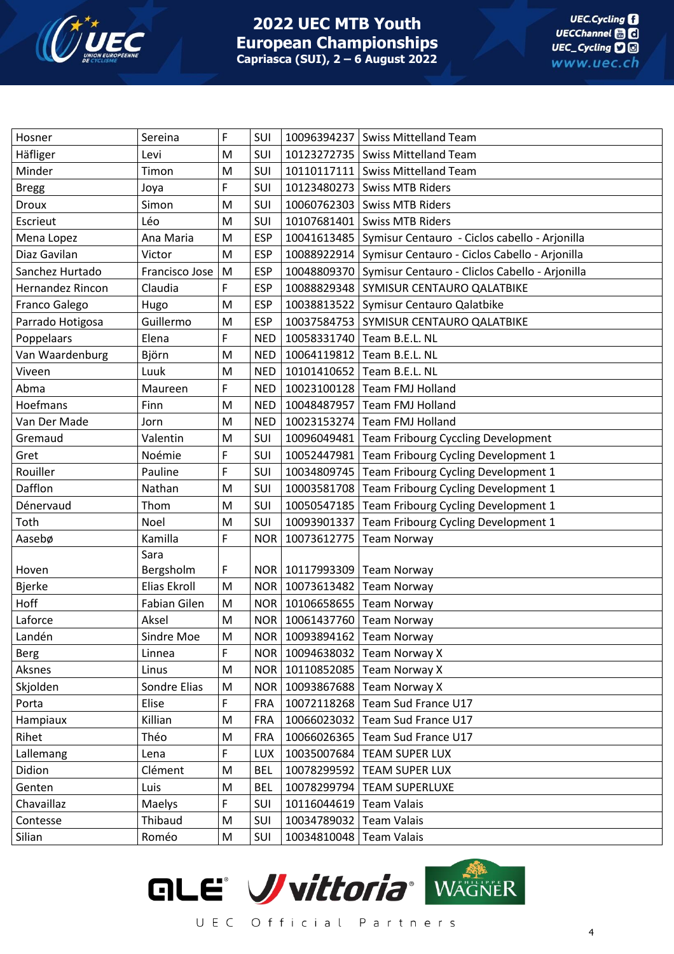

| Hosner           | Sereina        | F | SUI        |                                 | 10096394237 Swiss Mittelland Team                           |
|------------------|----------------|---|------------|---------------------------------|-------------------------------------------------------------|
| Häfliger         | Levi           | M | SUI        |                                 | 10123272735   Swiss Mittelland Team                         |
| Minder           | Timon          | M | SUI        |                                 | 10110117111   Swiss Mittelland Team                         |
| <b>Bregg</b>     | Joya           | F | SUI        |                                 | 10123480273   Swiss MTB Riders                              |
| Droux            | Simon          | M | SUI        |                                 | 10060762303 Swiss MTB Riders                                |
| Escrieut         | Léo            | M | SUI        |                                 | 10107681401   Swiss MTB Riders                              |
| Mena Lopez       | Ana Maria      | M | <b>ESP</b> |                                 | 10041613485   Symisur Centauro - Ciclos cabello - Arjonilla |
| Diaz Gavilan     | Victor         | M | <b>ESP</b> |                                 | 10088922914   Symisur Centauro - Ciclos Cabello - Arjonilla |
| Sanchez Hurtado  | Francisco Jose | M | <b>ESP</b> |                                 | 10048809370 Symisur Centauro - Cliclos Cabello - Arjonilla  |
| Hernandez Rincon | Claudia        | F | <b>ESP</b> |                                 | 10088829348 SYMISUR CENTAURO QALATBIKE                      |
| Franco Galego    | Hugo           | M | <b>ESP</b> |                                 | 10038813522 Symisur Centauro Qalatbike                      |
| Parrado Hotigosa | Guillermo      | M | <b>ESP</b> |                                 | 10037584753 SYMISUR CENTAURO QALATBIKE                      |
| Poppelaars       | Elena          | F | <b>NED</b> |                                 | 10058331740 Team B.E.L. NL                                  |
| Van Waardenburg  | Björn          | M | <b>NED</b> |                                 | 10064119812 Team B.E.L. NL                                  |
| Viveen           | Luuk           | M | NED        |                                 | 10101410652   Team B.E.L. NL                                |
| Abma             | Maureen        | F |            |                                 | NED   10023100128   Team FMJ Holland                        |
| Hoefmans         | Finn           | M | NED        | 10048487957                     | <b>Team FMJ Holland</b>                                     |
| Van Der Made     | Jorn           | M | <b>NED</b> |                                 | 10023153274 Team FMJ Holland                                |
| Gremaud          | Valentin       | M | SUI        |                                 | 10096049481   Team Fribourg Cyccling Development            |
| Gret             | Noémie         | F | SUI        |                                 | 10052447981   Team Fribourg Cycling Development 1           |
| Rouiller         | Pauline        | F | SUI        |                                 | 10034809745   Team Fribourg Cycling Development 1           |
| Dafflon          | Nathan         | M | SUI        |                                 | 10003581708   Team Fribourg Cycling Development 1           |
| Dénervaud        | Thom           | M | SUI        |                                 | 10050547185 Team Fribourg Cycling Development 1             |
| Toth             | Noel           | M | SUI        |                                 | 10093901337 Team Fribourg Cycling Development 1             |
| Aasebø           | Kamilla        | F | <b>NOR</b> | 10073612775                     | <b>Team Norway</b>                                          |
|                  | Sara           |   |            |                                 |                                                             |
| Hoven            | Bergsholm      | F |            | NOR   10117993309   Team Norway |                                                             |
| <b>Bjerke</b>    | Elias Ekroll   | M |            | NOR   10073613482               | <b>Team Norway</b>                                          |
| Hoff             | Fabian Gilen   | M |            | NOR   10106658655   Team Norway |                                                             |
| Laforce          | Aksel          | M |            | NOR   10061437760   Team Norway |                                                             |
| Landén           | Sindre Moe     | M |            | NOR   10093894162   Team Norway |                                                             |
| <b>Berg</b>      | Linnea         | F |            |                                 | NOR   10094638032   Team Norway X                           |
| Aksnes           | Linus          | M |            |                                 | NOR   10110852085   Team Norway X                           |
| Skjolden         | Sondre Elias   | M |            |                                 | NOR   10093867688   Team Norway X                           |
| Porta            | Elise          | F | <b>FRA</b> |                                 | 10072118268 Team Sud France U17                             |
| Hampiaux         | Killian        | M | <b>FRA</b> |                                 | 10066023032 Team Sud France U17                             |
| Rihet            | Théo           | M | <b>FRA</b> |                                 | 10066026365 Team Sud France U17                             |
| Lallemang        | Lena           | F | <b>LUX</b> |                                 | 10035007684   TEAM SUPER LUX                                |
| Didion           | Clément        | M | <b>BEL</b> |                                 | 10078299592   TEAM SUPER LUX                                |
| Genten           | Luis           | M | <b>BEL</b> |                                 | 10078299794   TEAM SUPERLUXE                                |
| Chavaillaz       | Maelys         | F | SUI        | 10116044619 Team Valais         |                                                             |
| Contesse         | Thibaud        | M | SUI        | 10034789032 Team Valais         |                                                             |
| Silian           | Roméo          | M | SUI        | 10034810048 Team Valais         |                                                             |